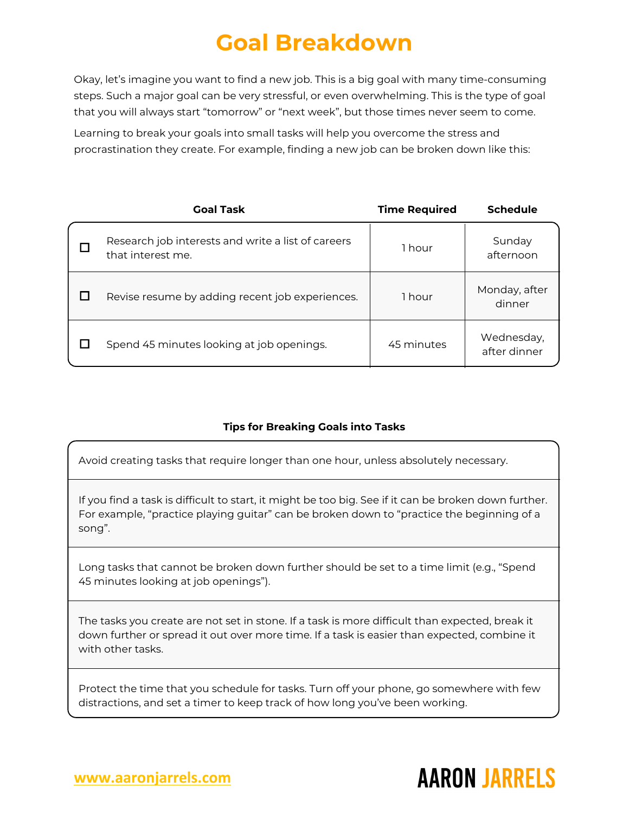## **Goal Breakdown**

Okay, let's imagine you want to find a new job. This is a big goal with many time-consuming steps. Such a major goal can be very stressful, or even overwhelming. This is the type of goal that you will always start "tomorrow" or "next week", but those times never seem to come.

Learning to break your goals into small tasks will help you overcome the stress and procrastination they create. For example, finding a new job can be broken down like this:

| <b>Goal Task</b>                                                        | <b>Time Required</b> | <b>Schedule</b>            |
|-------------------------------------------------------------------------|----------------------|----------------------------|
| Research job interests and write a list of careers<br>that interest me. | 1 hour               | Sunday<br>afternoon        |
| Revise resume by adding recent job experiences.                         | 1 hour               | Monday, after<br>dinner    |
| Spend 45 minutes looking at job openings.                               | 45 minutes           | Wednesday,<br>after dinner |

## **Tips for Breaking Goals into Tasks**

Avoid creating tasks that require longer than one hour, unless absolutely necessary.

If you find a task is difficult to start, it might be too big. See if it can be broken down further. For example, "practice playing guitar" can be broken down to "practice the beginning of a song".

Long tasks that cannot be broken down further should be set to a time limit (e.g., "Spend 45 minutes looking at job openings").

The tasks you create are not set in stone. If a task is more difficult than expected, break it down further or spread it out over more time. If a task is easier than expected, combine it with other tasks.

Protect the time that you schedule for tasks. Turn off your phone, go somewhere with few distractions, and set a timer to keep track of how long you've been working.

## **AARON JARRELS**